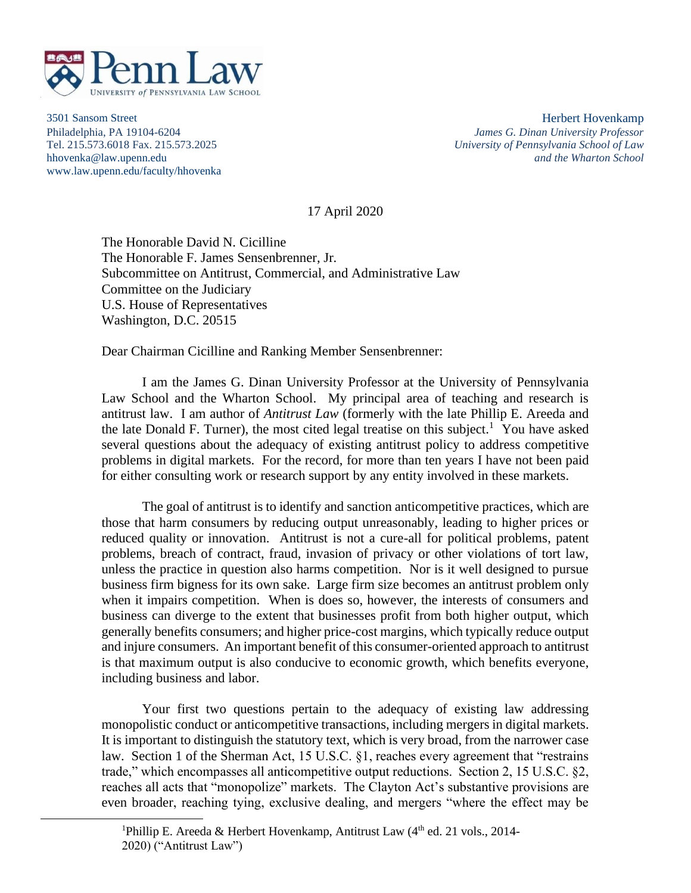

3501 Sansom Street Herbert Hovenkamp www.law.upenn.edu/faculty/hhovenka

Philadelphia, PA 19104-6204 *James G. Dinan University Professor* Tel. 215.573.6018 Fax. 215.573.2025 *University of Pennsylvania School of Law* hhovenka@law.upenn.edu *and the Wharton School*

17 April 2020

The Honorable David N. Cicilline The Honorable F. James Sensenbrenner, Jr. Subcommittee on Antitrust, Commercial, and Administrative Law Committee on the Judiciary U.S. House of Representatives Washington, D.C. 20515

Dear Chairman Cicilline and Ranking Member Sensenbrenner:

I am the James G. Dinan University Professor at the University of Pennsylvania Law School and the Wharton School. My principal area of teaching and research is antitrust law. I am author of *Antitrust Law* (formerly with the late Phillip E. Areeda and the late Donald F. Turner), the most cited legal treatise on this subject.<sup>1</sup> You have asked several questions about the adequacy of existing antitrust policy to address competitive problems in digital markets. For the record, for more than ten years I have not been paid for either consulting work or research support by any entity involved in these markets.

The goal of antitrust is to identify and sanction anticompetitive practices, which are those that harm consumers by reducing output unreasonably, leading to higher prices or reduced quality or innovation. Antitrust is not a cure-all for political problems, patent problems, breach of contract, fraud, invasion of privacy or other violations of tort law, unless the practice in question also harms competition. Nor is it well designed to pursue business firm bigness for its own sake. Large firm size becomes an antitrust problem only when it impairs competition. When is does so, however, the interests of consumers and business can diverge to the extent that businesses profit from both higher output, which generally benefits consumers; and higher price-cost margins, which typically reduce output and injure consumers. An important benefit of this consumer-oriented approach to antitrust is that maximum output is also conducive to economic growth, which benefits everyone, including business and labor.

Your first two questions pertain to the adequacy of existing law addressing monopolistic conduct or anticompetitive transactions, including mergers in digital markets. It is important to distinguish the statutory text, which is very broad, from the narrower case law. Section 1 of the Sherman Act, 15 U.S.C. §1, reaches every agreement that "restrains" trade," which encompasses all anticompetitive output reductions. Section 2, 15 U.S.C. §2, reaches all acts that "monopolize" markets. The Clayton Act's substantive provisions are even broader, reaching tying, exclusive dealing, and mergers "where the effect may be

<sup>&</sup>lt;sup>1</sup>Phillip E. Areeda & Herbert Hovenkamp, Antitrust Law ( $4<sup>th</sup>$  ed. 21 vols., 2014-2020) ("Antitrust Law")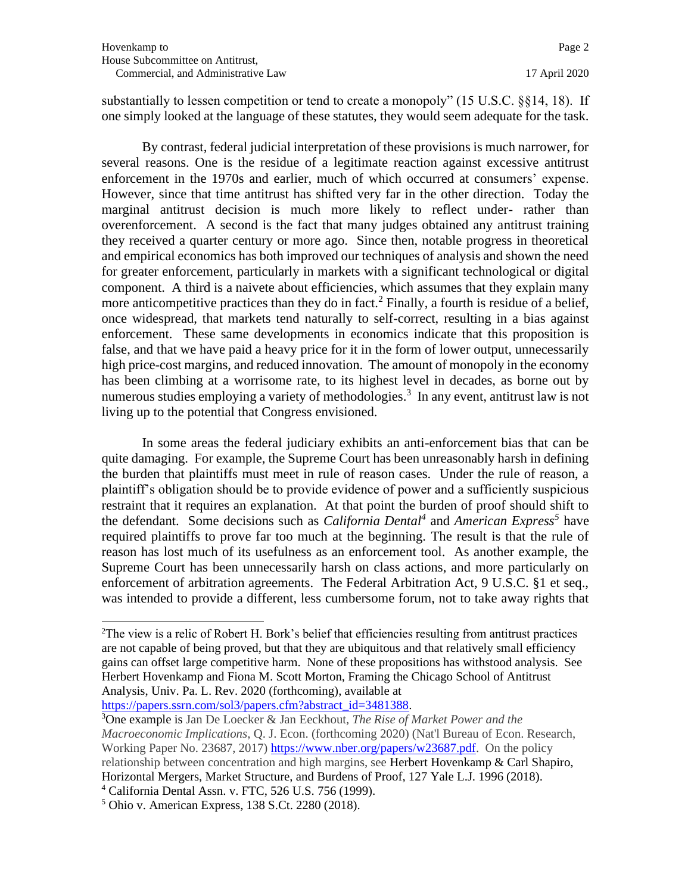substantially to lessen competition or tend to create a monopoly" (15 U.S.C. §§14, 18). If one simply looked at the language of these statutes, they would seem adequate for the task.

By contrast, federal judicial interpretation of these provisions is much narrower, for several reasons. One is the residue of a legitimate reaction against excessive antitrust enforcement in the 1970s and earlier, much of which occurred at consumers' expense. However, since that time antitrust has shifted very far in the other direction. Today the marginal antitrust decision is much more likely to reflect under- rather than overenforcement. A second is the fact that many judges obtained any antitrust training they received a quarter century or more ago. Since then, notable progress in theoretical and empirical economics has both improved our techniques of analysis and shown the need for greater enforcement, particularly in markets with a significant technological or digital component. A third is a naivete about efficiencies, which assumes that they explain many more anticompetitive practices than they do in fact.<sup>2</sup> Finally, a fourth is residue of a belief, once widespread, that markets tend naturally to self-correct, resulting in a bias against enforcement. These same developments in economics indicate that this proposition is false, and that we have paid a heavy price for it in the form of lower output, unnecessarily high price-cost margins, and reduced innovation. The amount of monopoly in the economy has been climbing at a worrisome rate, to its highest level in decades, as borne out by numerous studies employing a variety of methodologies.<sup>3</sup> In any event, antitrust law is not living up to the potential that Congress envisioned.

In some areas the federal judiciary exhibits an anti-enforcement bias that can be quite damaging. For example, the Supreme Court has been unreasonably harsh in defining the burden that plaintiffs must meet in rule of reason cases. Under the rule of reason, a plaintiff's obligation should be to provide evidence of power and a sufficiently suspicious restraint that it requires an explanation. At that point the burden of proof should shift to the defendant. Some decisions such as *California Dental<sup>4</sup>* and *American Express<sup>5</sup>* have required plaintiffs to prove far too much at the beginning. The result is that the rule of reason has lost much of its usefulness as an enforcement tool. As another example, the Supreme Court has been unnecessarily harsh on class actions, and more particularly on enforcement of arbitration agreements. The Federal Arbitration Act, 9 U.S.C. §1 et seq., was intended to provide a different, less cumbersome forum, not to take away rights that

[https://papers.ssrn.com/sol3/papers.cfm?abstract\\_id=3481388.](https://papers.ssrn.com/sol3/papers.cfm?abstract_id=3481388)

<sup>&</sup>lt;sup>2</sup>The view is a relic of Robert H. Bork's belief that efficiencies resulting from antitrust practices are not capable of being proved, but that they are ubiquitous and that relatively small efficiency gains can offset large competitive harm. None of these propositions has withstood analysis. See Herbert Hovenkamp and Fiona M. Scott Morton, Framing the Chicago School of Antitrust Analysis, Univ. Pa. L. Rev. 2020 (forthcoming), available at

<sup>3</sup>One example is Jan De Loecker & Jan Eeckhout, *The Rise of Market Power and the Macroeconomic Implications*, Q. J. Econ. (forthcoming 2020) (Nat'l Bureau of Econ. Research, Working Paper No. 23687, 2017) [https://www.nber.org/papers/w23687.pdf.](https://www.nber.org/papers/w23687.pdf) On the policy relationship between concentration and high margins, see Herbert Hovenkamp & Carl Shapiro, Horizontal Mergers, Market Structure, and Burdens of Proof, 127 Yale L.J. 1996 (2018). <sup>4</sup> California Dental Assn. v. FTC, 526 U.S. 756 (1999).

<sup>5</sup> Ohio v. American Express, 138 S.Ct. 2280 (2018).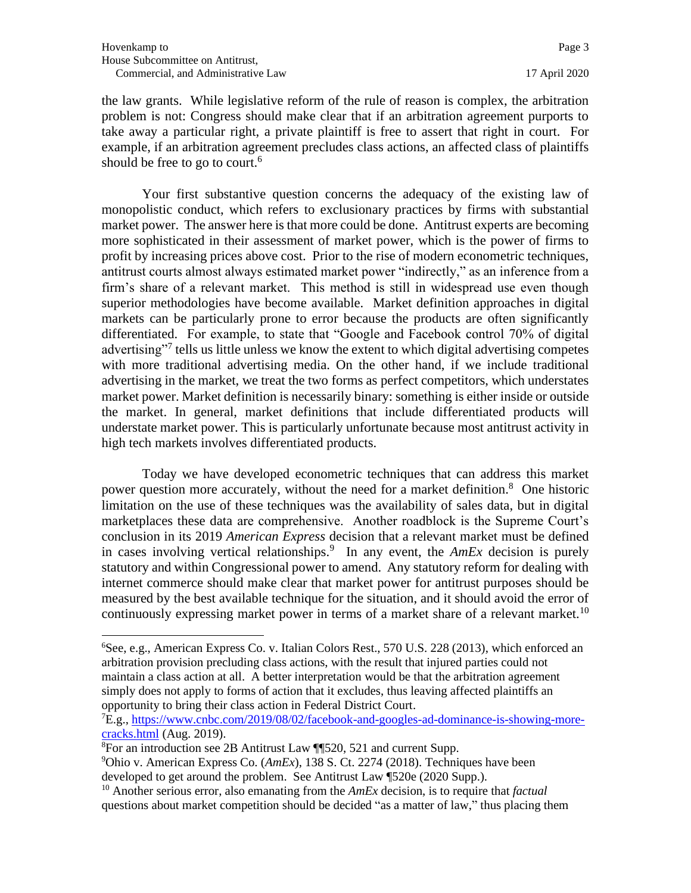the law grants. While legislative reform of the rule of reason is complex, the arbitration problem is not: Congress should make clear that if an arbitration agreement purports to take away a particular right, a private plaintiff is free to assert that right in court. For example, if an arbitration agreement precludes class actions, an affected class of plaintiffs should be free to go to court.<sup>6</sup>

Your first substantive question concerns the adequacy of the existing law of monopolistic conduct, which refers to exclusionary practices by firms with substantial market power. The answer here is that more could be done. Antitrust experts are becoming more sophisticated in their assessment of market power, which is the power of firms to profit by increasing prices above cost. Prior to the rise of modern econometric techniques, antitrust courts almost always estimated market power "indirectly," as an inference from a firm's share of a relevant market. This method is still in widespread use even though superior methodologies have become available. Market definition approaches in digital markets can be particularly prone to error because the products are often significantly differentiated. For example, to state that "Google and Facebook control 70% of digital advertising"<sup>7</sup> tells us little unless we know the extent to which digital advertising competes with more traditional advertising media. On the other hand, if we include traditional advertising in the market, we treat the two forms as perfect competitors, which understates market power. Market definition is necessarily binary: something is either inside or outside the market. In general, market definitions that include differentiated products will understate market power. This is particularly unfortunate because most antitrust activity in high tech markets involves differentiated products.

Today we have developed econometric techniques that can address this market power question more accurately, without the need for a market definition.<sup>8</sup> One historic limitation on the use of these techniques was the availability of sales data, but in digital marketplaces these data are comprehensive. Another roadblock is the Supreme Court's conclusion in its 2019 *American Express* decision that a relevant market must be defined in cases involving vertical relationships.<sup>9</sup> In any event, the *AmEx* decision is purely statutory and within Congressional power to amend. Any statutory reform for dealing with internet commerce should make clear that market power for antitrust purposes should be measured by the best available technique for the situation, and it should avoid the error of continuously expressing market power in terms of a market share of a relevant market.<sup>10</sup>

<sup>6</sup>See, e.g., American Express Co. v. Italian Colors Rest., 570 U.S. 228 (2013), which enforced an arbitration provision precluding class actions, with the result that injured parties could not maintain a class action at all. A better interpretation would be that the arbitration agreement simply does not apply to forms of action that it excludes, thus leaving affected plaintiffs an opportunity to bring their class action in Federal District Court.

<sup>7</sup>E.g.[, https://www.cnbc.com/2019/08/02/facebook-and-googles-ad-dominance-is-showing-more](https://www.cnbc.com/2019/08/02/facebook-and-googles-ad-dominance-is-showing-more-cracks.html)[cracks.html](https://www.cnbc.com/2019/08/02/facebook-and-googles-ad-dominance-is-showing-more-cracks.html) (Aug. 2019).

<sup>8</sup>For an introduction see 2B Antitrust Law ¶¶520, 521 and current Supp.

<sup>9</sup>Ohio v. American Express Co. (*AmEx*), 138 S. Ct. 2274 (2018). Techniques have been developed to get around the problem. See Antitrust Law ¶520e (2020 Supp.).

<sup>10</sup> Another serious error, also emanating from the *AmEx* decision, is to require that *factual* questions about market competition should be decided "as a matter of law," thus placing them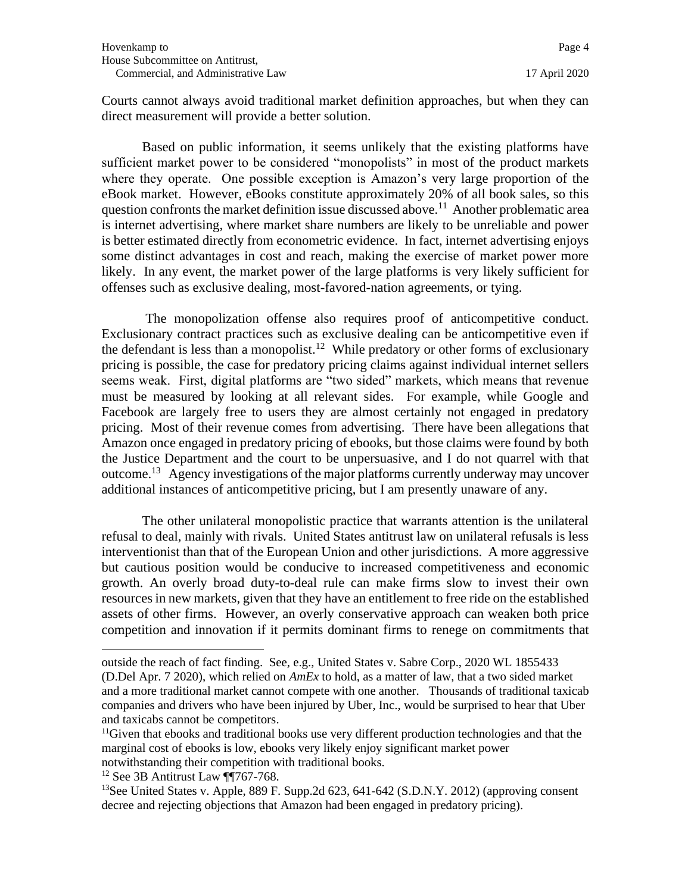Courts cannot always avoid traditional market definition approaches, but when they can direct measurement will provide a better solution.

Based on public information, it seems unlikely that the existing platforms have sufficient market power to be considered "monopolists" in most of the product markets where they operate. One possible exception is Amazon's very large proportion of the eBook market. However, eBooks constitute approximately 20% of all book sales, so this question confronts the market definition issue discussed above.<sup>11</sup> Another problematic area is internet advertising, where market share numbers are likely to be unreliable and power is better estimated directly from econometric evidence. In fact, internet advertising enjoys some distinct advantages in cost and reach, making the exercise of market power more likely. In any event, the market power of the large platforms is very likely sufficient for offenses such as exclusive dealing, most-favored-nation agreements, or tying.

The monopolization offense also requires proof of anticompetitive conduct. Exclusionary contract practices such as exclusive dealing can be anticompetitive even if the defendant is less than a monopolist.<sup>12</sup> While predatory or other forms of exclusionary pricing is possible, the case for predatory pricing claims against individual internet sellers seems weak. First, digital platforms are "two sided" markets, which means that revenue must be measured by looking at all relevant sides. For example, while Google and Facebook are largely free to users they are almost certainly not engaged in predatory pricing. Most of their revenue comes from advertising. There have been allegations that Amazon once engaged in predatory pricing of ebooks, but those claims were found by both the Justice Department and the court to be unpersuasive, and I do not quarrel with that outcome.<sup>13</sup> Agency investigations of the major platforms currently underway may uncover additional instances of anticompetitive pricing, but I am presently unaware of any.

The other unilateral monopolistic practice that warrants attention is the unilateral refusal to deal, mainly with rivals. United States antitrust law on unilateral refusals is less interventionist than that of the European Union and other jurisdictions. A more aggressive but cautious position would be conducive to increased competitiveness and economic growth. An overly broad duty-to-deal rule can make firms slow to invest their own resources in new markets, given that they have an entitlement to free ride on the established assets of other firms. However, an overly conservative approach can weaken both price competition and innovation if it permits dominant firms to renege on commitments that

outside the reach of fact finding. See, e.g., United States v. Sabre Corp., 2020 WL 1855433 (D.Del Apr. 7 2020), which relied on *AmEx* to hold, as a matter of law, that a two sided market and a more traditional market cannot compete with one another. Thousands of traditional taxicab companies and drivers who have been injured by Uber, Inc., would be surprised to hear that Uber and taxicabs cannot be competitors.

 $11$ Given that ebooks and traditional books use very different production technologies and that the marginal cost of ebooks is low, ebooks very likely enjoy significant market power notwithstanding their competition with traditional books.

 $12$  See 3B Antitrust Law ¶¶767-768.

<sup>&</sup>lt;sup>13</sup>See United States v. Apple, 889 F. Supp.2d  $623$ ,  $641-642$  (S.D.N.Y. 2012) (approving consent decree and rejecting objections that Amazon had been engaged in predatory pricing).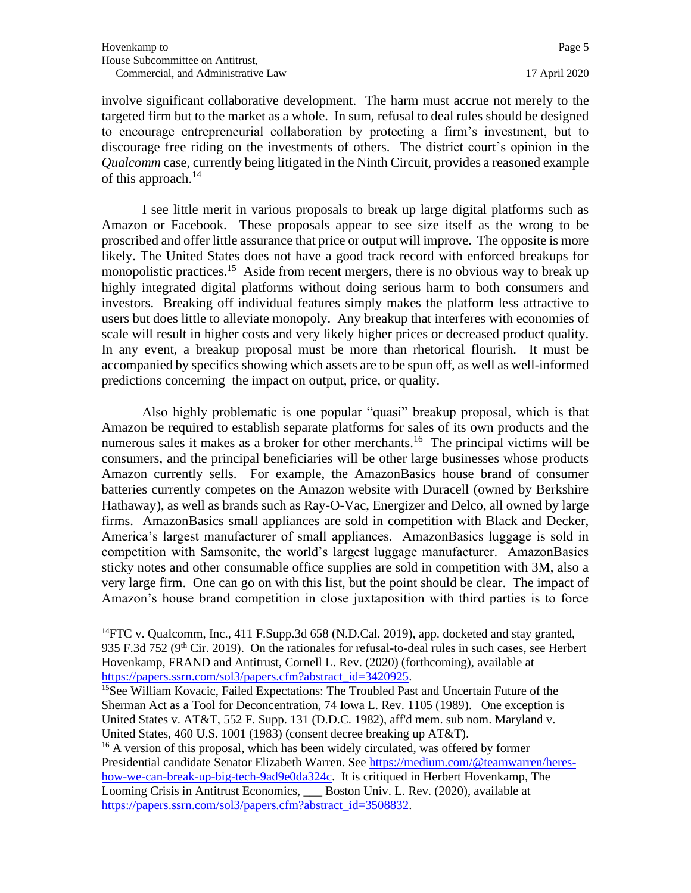involve significant collaborative development. The harm must accrue not merely to the targeted firm but to the market as a whole. In sum, refusal to deal rules should be designed to encourage entrepreneurial collaboration by protecting a firm's investment, but to discourage free riding on the investments of others. The district court's opinion in the *Qualcomm* case, currently being litigated in the Ninth Circuit, provides a reasoned example of this approach.<sup>14</sup>

I see little merit in various proposals to break up large digital platforms such as Amazon or Facebook. These proposals appear to see size itself as the wrong to be proscribed and offer little assurance that price or output will improve. The opposite is more likely. The United States does not have a good track record with enforced breakups for monopolistic practices.<sup>15</sup> Aside from recent mergers, there is no obvious way to break up highly integrated digital platforms without doing serious harm to both consumers and investors. Breaking off individual features simply makes the platform less attractive to users but does little to alleviate monopoly. Any breakup that interferes with economies of scale will result in higher costs and very likely higher prices or decreased product quality. In any event, a breakup proposal must be more than rhetorical flourish. It must be accompanied by specifics showing which assets are to be spun off, as well as well-informed predictions concerning the impact on output, price, or quality.

Also highly problematic is one popular "quasi" breakup proposal, which is that Amazon be required to establish separate platforms for sales of its own products and the numerous sales it makes as a broker for other merchants.<sup>16</sup> The principal victims will be consumers, and the principal beneficiaries will be other large businesses whose products Amazon currently sells. For example, the AmazonBasics house brand of consumer batteries currently competes on the Amazon website with Duracell (owned by Berkshire Hathaway), as well as brands such as Ray-O-Vac, Energizer and Delco, all owned by large firms. AmazonBasics small appliances are sold in competition with Black and Decker, America's largest manufacturer of small appliances. AmazonBasics luggage is sold in competition with Samsonite, the world's largest luggage manufacturer. AmazonBasics sticky notes and other consumable office supplies are sold in competition with 3M, also a very large firm. One can go on with this list, but the point should be clear. The impact of Amazon's house brand competition in close juxtaposition with third parties is to force

<sup>&</sup>lt;sup>14</sup>FTC v. Qualcomm, Inc., 411 F. Supp. 3d  $658$  (N.D. Cal. 2019), app. docketed and stay granted, 935 F.3d 752 ( $9<sup>th</sup>$  Cir. 2019). On the rationales for refusal-to-deal rules in such cases, see Herbert Hovenkamp, FRAND and Antitrust, Cornell L. Rev. (2020) (forthcoming), available at [https://papers.ssrn.com/sol3/papers.cfm?abstract\\_id=3420925.](https://papers.ssrn.com/sol3/papers.cfm?abstract_id=3420925)

<sup>&</sup>lt;sup>15</sup>See William Kovacic, Failed Expectations: The Troubled Past and Uncertain Future of the Sherman Act as a Tool for Deconcentration, 74 Iowa L. Rev. 1105 (1989). One exception is United States v. AT&T, 552 F. Supp. 131 (D.D.C. 1982), aff'd mem. sub nom. Maryland v. United States, 460 U.S. 1001 (1983) (consent decree breaking up AT&T).

<sup>&</sup>lt;sup>16</sup> A version of this proposal, which has been widely circulated, was offered by former Presidential candidate Senator Elizabeth Warren. See [https://medium.com/@teamwarren/heres](https://medium.com/@teamwarren/heres-how-we-can-break-up-big-tech-9ad9e0da324c)[how-we-can-break-up-big-tech-9ad9e0da324c.](https://medium.com/@teamwarren/heres-how-we-can-break-up-big-tech-9ad9e0da324c) It is critiqued in Herbert Hovenkamp, The Looming Crisis in Antitrust Economics, Boston Univ. L. Rev. (2020), available at [https://papers.ssrn.com/sol3/papers.cfm?abstract\\_id=3508832.](https://papers.ssrn.com/sol3/papers.cfm?abstract_id=3508832)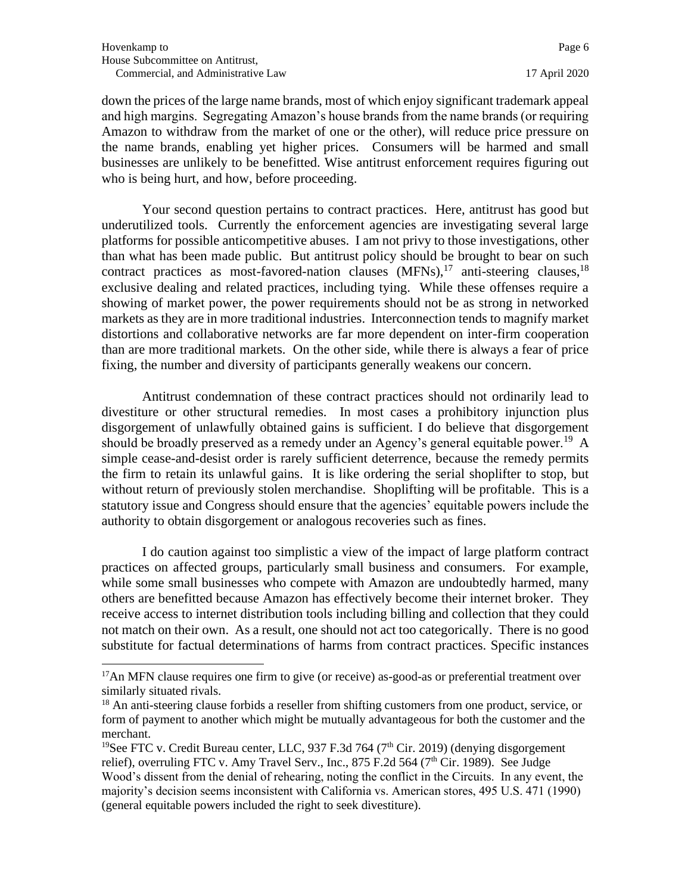down the prices of the large name brands, most of which enjoy significant trademark appeal and high margins. Segregating Amazon's house brands from the name brands (or requiring Amazon to withdraw from the market of one or the other), will reduce price pressure on the name brands, enabling yet higher prices. Consumers will be harmed and small businesses are unlikely to be benefitted. Wise antitrust enforcement requires figuring out who is being hurt, and how, before proceeding.

Your second question pertains to contract practices. Here, antitrust has good but underutilized tools. Currently the enforcement agencies are investigating several large platforms for possible anticompetitive abuses. I am not privy to those investigations, other than what has been made public. But antitrust policy should be brought to bear on such contract practices as most-favored-nation clauses  $(MFNs)$ ,<sup>17</sup> anti-steering clauses,<sup>18</sup> exclusive dealing and related practices, including tying. While these offenses require a showing of market power, the power requirements should not be as strong in networked markets as they are in more traditional industries. Interconnection tends to magnify market distortions and collaborative networks are far more dependent on inter-firm cooperation than are more traditional markets. On the other side, while there is always a fear of price fixing, the number and diversity of participants generally weakens our concern.

Antitrust condemnation of these contract practices should not ordinarily lead to divestiture or other structural remedies. In most cases a prohibitory injunction plus disgorgement of unlawfully obtained gains is sufficient. I do believe that disgorgement should be broadly preserved as a remedy under an Agency's general equitable power.<sup>19</sup> A simple cease-and-desist order is rarely sufficient deterrence, because the remedy permits the firm to retain its unlawful gains. It is like ordering the serial shoplifter to stop, but without return of previously stolen merchandise. Shoplifting will be profitable. This is a statutory issue and Congress should ensure that the agencies' equitable powers include the authority to obtain disgorgement or analogous recoveries such as fines.

I do caution against too simplistic a view of the impact of large platform contract practices on affected groups, particularly small business and consumers. For example, while some small businesses who compete with Amazon are undoubtedly harmed, many others are benefitted because Amazon has effectively become their internet broker. They receive access to internet distribution tools including billing and collection that they could not match on their own. As a result, one should not act too categorically. There is no good substitute for factual determinations of harms from contract practices. Specific instances

<sup>&</sup>lt;sup>17</sup>An MFN clause requires one firm to give (or receive) as-good-as or preferential treatment over similarly situated rivals.

<sup>&</sup>lt;sup>18</sup> An anti-steering clause forbids a reseller from shifting customers from one product, service, or form of payment to another which might be mutually advantageous for both the customer and the merchant.

<sup>&</sup>lt;sup>19</sup>See FTC v. Credit Bureau center, LLC, 937 F.3d 764 (7<sup>th</sup> Cir. 2019) (denying disgorgement relief), overruling FTC v. Amy Travel Serv., Inc., 875 F.2d 564 ( $7<sup>th</sup>$  Cir. 1989). See Judge Wood's dissent from the denial of rehearing, noting the conflict in the Circuits. In any event, the majority's decision seems inconsistent with California vs. American stores, 495 U.S. 471 (1990) (general equitable powers included the right to seek divestiture).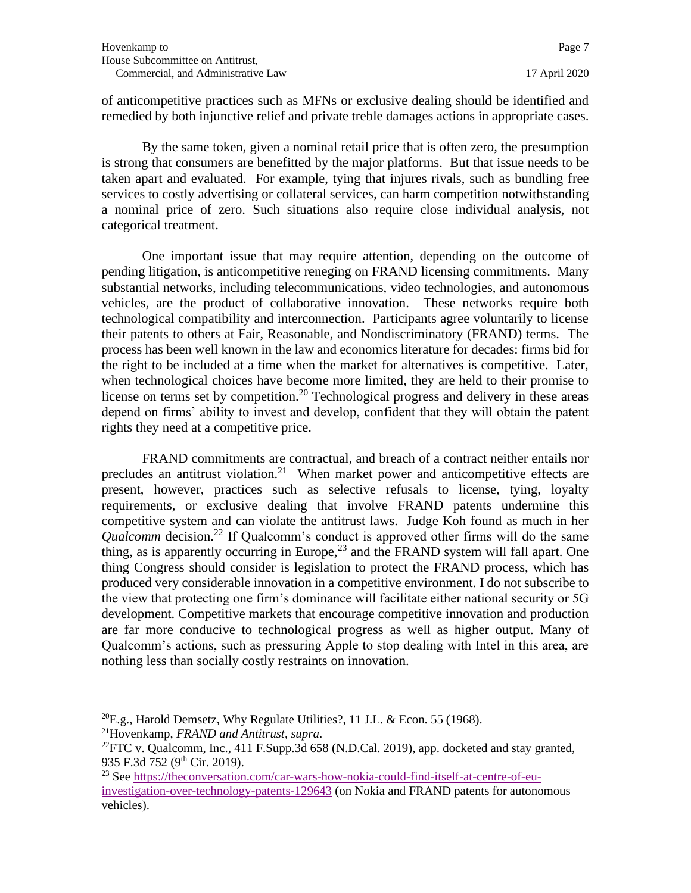of anticompetitive practices such as MFNs or exclusive dealing should be identified and remedied by both injunctive relief and private treble damages actions in appropriate cases.

By the same token, given a nominal retail price that is often zero, the presumption is strong that consumers are benefitted by the major platforms. But that issue needs to be taken apart and evaluated. For example, tying that injures rivals, such as bundling free services to costly advertising or collateral services, can harm competition notwithstanding a nominal price of zero. Such situations also require close individual analysis, not categorical treatment.

One important issue that may require attention, depending on the outcome of pending litigation, is anticompetitive reneging on FRAND licensing commitments. Many substantial networks, including telecommunications, video technologies, and autonomous vehicles, are the product of collaborative innovation. These networks require both technological compatibility and interconnection. Participants agree voluntarily to license their patents to others at Fair, Reasonable, and Nondiscriminatory (FRAND) terms. The process has been well known in the law and economics literature for decades: firms bid for the right to be included at a time when the market for alternatives is competitive. Later, when technological choices have become more limited, they are held to their promise to license on terms set by competition.<sup>20</sup> Technological progress and delivery in these areas depend on firms' ability to invest and develop, confident that they will obtain the patent rights they need at a competitive price.

FRAND commitments are contractual, and breach of a contract neither entails nor precludes an antitrust violation.<sup>21</sup> When market power and anticompetitive effects are present, however, practices such as selective refusals to license, tying, loyalty requirements, or exclusive dealing that involve FRAND patents undermine this competitive system and can violate the antitrust laws. Judge Koh found as much in her *Qualcomm* decision.<sup>22</sup> If Qualcomm's conduct is approved other firms will do the same thing, as is apparently occurring in Europe,  $^{23}$  and the FRAND system will fall apart. One thing Congress should consider is legislation to protect the FRAND process, which has produced very considerable innovation in a competitive environment. I do not subscribe to the view that protecting one firm's dominance will facilitate either national security or 5G development. Competitive markets that encourage competitive innovation and production are far more conducive to technological progress as well as higher output. Many of Qualcomm's actions, such as pressuring Apple to stop dealing with Intel in this area, are nothing less than socially costly restraints on innovation.

 $^{20}E.g.,$  Harold Demsetz, Why Regulate Utilities?, 11 J.L. & Econ. 55 (1968).

<sup>21</sup>Hovenkamp, *FRAND and Antitrust*, *supra*. <sup>22</sup> FTC v. Qualcomm, Inc., 411 F. Supp. 3d 658 (N.D.Cal. 2019), app. docketed and stay granted,

<sup>935</sup> F.3d 752 (9th Cir. 2019).

<sup>23</sup> See [https://theconversation.com/car-wars-how-nokia-could-find-itself-at-centre-of-eu](https://theconversation.com/car-wars-how-nokia-could-find-itself-at-centre-of-eu-investigation-over-technology-patents-129643)[investigation-over-technology-patents-129643](https://theconversation.com/car-wars-how-nokia-could-find-itself-at-centre-of-eu-investigation-over-technology-patents-129643) (on Nokia and FRAND patents for autonomous vehicles).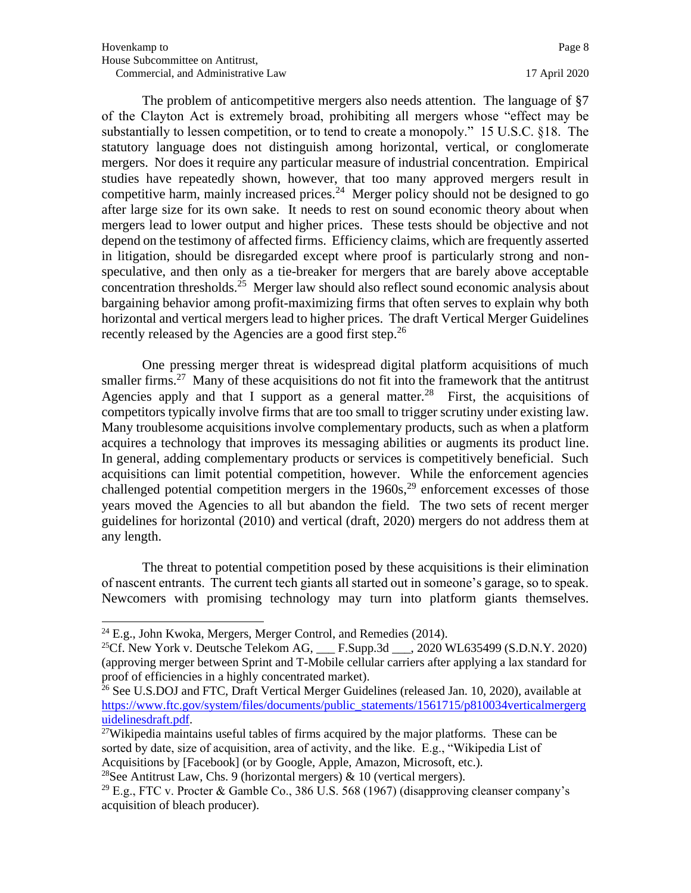The problem of anticompetitive mergers also needs attention. The language of §7 of the Clayton Act is extremely broad, prohibiting all mergers whose "effect may be substantially to lessen competition, or to tend to create a monopoly." 15 U.S.C. §18. The statutory language does not distinguish among horizontal, vertical, or conglomerate mergers. Nor does it require any particular measure of industrial concentration. Empirical studies have repeatedly shown, however, that too many approved mergers result in competitive harm, mainly increased prices. $24$  Merger policy should not be designed to go after large size for its own sake. It needs to rest on sound economic theory about when mergers lead to lower output and higher prices. These tests should be objective and not depend on the testimony of affected firms. Efficiency claims, which are frequently asserted in litigation, should be disregarded except where proof is particularly strong and nonspeculative, and then only as a tie-breaker for mergers that are barely above acceptable concentration thresholds.<sup>25</sup> Merger law should also reflect sound economic analysis about bargaining behavior among profit-maximizing firms that often serves to explain why both horizontal and vertical mergers lead to higher prices. The draft Vertical Merger Guidelines recently released by the Agencies are a good first step.<sup>26</sup>

One pressing merger threat is widespread digital platform acquisitions of much smaller firms.<sup>27</sup> Many of these acquisitions do not fit into the framework that the antitrust Agencies apply and that I support as a general matter.<sup>28</sup> First, the acquisitions of competitors typically involve firms that are too small to trigger scrutiny under existing law. Many troublesome acquisitions involve complementary products, such as when a platform acquires a technology that improves its messaging abilities or augments its product line. In general, adding complementary products or services is competitively beneficial. Such acquisitions can limit potential competition, however. While the enforcement agencies challenged potential competition mergers in the  $1960s$ ,<sup>29</sup> enforcement excesses of those years moved the Agencies to all but abandon the field. The two sets of recent merger guidelines for horizontal (2010) and vertical (draft, 2020) mergers do not address them at any length.

The threat to potential competition posed by these acquisitions is their elimination of nascent entrants. The current tech giants all started out in someone's garage, so to speak. Newcomers with promising technology may turn into platform giants themselves.

<sup>28</sup>See Antitrust Law, Chs. 9 (horizontal mergers)  $\&$  10 (vertical mergers).

 $^{24}$  E.g., John Kwoka, Mergers, Merger Control, and Remedies (2014).

<sup>&</sup>lt;sup>25</sup>Cf. New York v. Deutsche Telekom AG,  $\qquad$  F.Supp.3d  $\qquad$ , 2020 WL635499 (S.D.N.Y. 2020) (approving merger between Sprint and T-Mobile cellular carriers after applying a lax standard for proof of efficiencies in a highly concentrated market).

 $^{26}$  See U.S.DOJ and FTC, Draft Vertical Merger Guidelines (released Jan. 10, 2020), available at [https://www.ftc.gov/system/files/documents/public\\_statements/1561715/p810034verticalmergerg](https://www.ftc.gov/system/files/documents/public_statements/1561715/p810034verticalmergerguidelinesdraft.pdf) [uidelinesdraft.pdf.](https://www.ftc.gov/system/files/documents/public_statements/1561715/p810034verticalmergerguidelinesdraft.pdf)

 $27$ Wikipedia maintains useful tables of firms acquired by the major platforms. These can be sorted by date, size of acquisition, area of activity, and the like. E.g., "Wikipedia List of Acquisitions by [Facebook] (or by Google, Apple, Amazon, Microsoft, etc.).

<sup>&</sup>lt;sup>29</sup> E.g., FTC v. Procter & Gamble Co., 386 U.S. 568 (1967) (disapproving cleanser company's acquisition of bleach producer).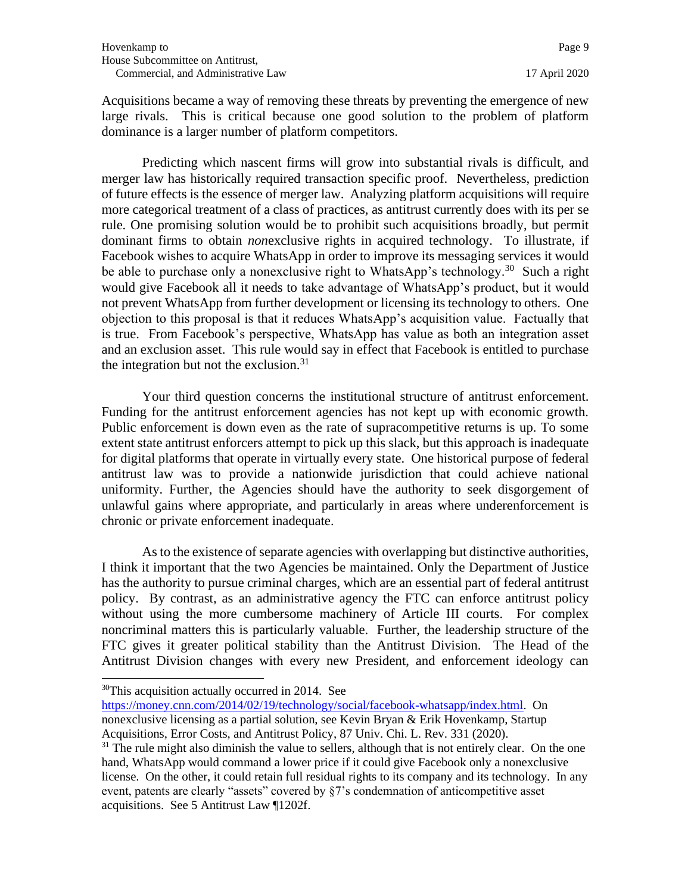Acquisitions became a way of removing these threats by preventing the emergence of new large rivals. This is critical because one good solution to the problem of platform dominance is a larger number of platform competitors.

Predicting which nascent firms will grow into substantial rivals is difficult, and merger law has historically required transaction specific proof. Nevertheless, prediction of future effects is the essence of merger law. Analyzing platform acquisitions will require more categorical treatment of a class of practices, as antitrust currently does with its per se rule. One promising solution would be to prohibit such acquisitions broadly, but permit dominant firms to obtain *non*exclusive rights in acquired technology. To illustrate, if Facebook wishes to acquire WhatsApp in order to improve its messaging services it would be able to purchase only a nonexclusive right to WhatsApp's technology.<sup>30</sup> Such a right would give Facebook all it needs to take advantage of WhatsApp's product, but it would not prevent WhatsApp from further development or licensing its technology to others. One objection to this proposal is that it reduces WhatsApp's acquisition value. Factually that is true. From Facebook's perspective, WhatsApp has value as both an integration asset and an exclusion asset. This rule would say in effect that Facebook is entitled to purchase the integration but not the exclusion. $31$ 

Your third question concerns the institutional structure of antitrust enforcement. Funding for the antitrust enforcement agencies has not kept up with economic growth. Public enforcement is down even as the rate of supracompetitive returns is up. To some extent state antitrust enforcers attempt to pick up this slack, but this approach is inadequate for digital platforms that operate in virtually every state. One historical purpose of federal antitrust law was to provide a nationwide jurisdiction that could achieve national uniformity. Further, the Agencies should have the authority to seek disgorgement of unlawful gains where appropriate, and particularly in areas where underenforcement is chronic or private enforcement inadequate.

As to the existence of separate agencies with overlapping but distinctive authorities, I think it important that the two Agencies be maintained. Only the Department of Justice has the authority to pursue criminal charges, which are an essential part of federal antitrust policy. By contrast, as an administrative agency the FTC can enforce antitrust policy without using the more cumbersome machinery of Article III courts. For complex noncriminal matters this is particularly valuable. Further, the leadership structure of the FTC gives it greater political stability than the Antitrust Division. The Head of the Antitrust Division changes with every new President, and enforcement ideology can

[https://money.cnn.com/2014/02/19/technology/social/facebook-whatsapp/index.html.](https://money.cnn.com/2014/02/19/technology/social/facebook-whatsapp/index.html) On nonexclusive licensing as a partial solution, see Kevin Bryan & Erik Hovenkamp, Startup Acquisitions, Error Costs, and Antitrust Policy, 87 Univ. Chi. L. Rev. 331 (2020).

 $30$ This acquisition actually occurred in 2014. See

 $31$  The rule might also diminish the value to sellers, although that is not entirely clear. On the one hand, WhatsApp would command a lower price if it could give Facebook only a nonexclusive license. On the other, it could retain full residual rights to its company and its technology. In any event, patents are clearly "assets" covered by §7's condemnation of anticompetitive asset acquisitions. See 5 Antitrust Law ¶1202f.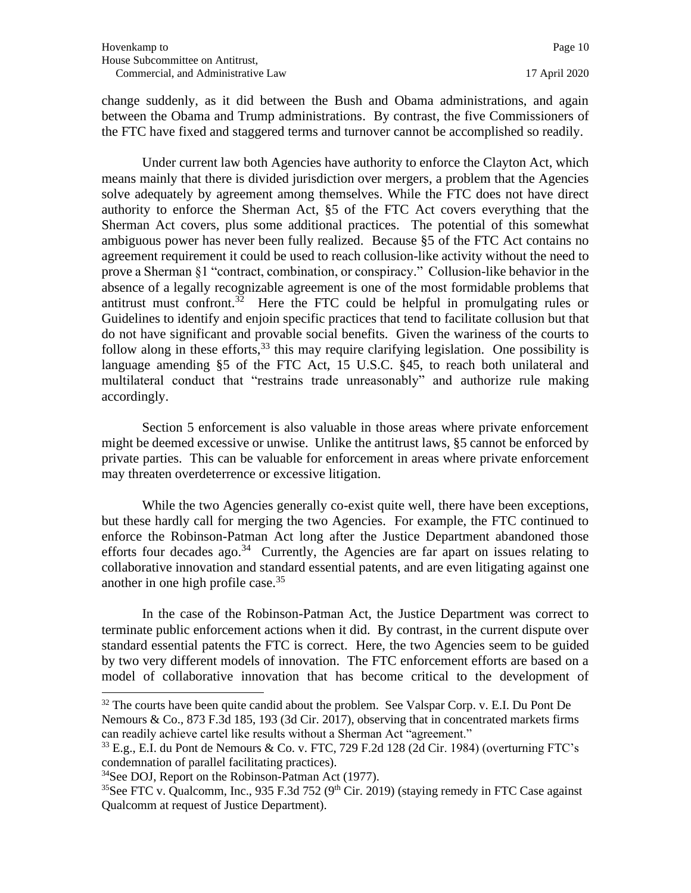change suddenly, as it did between the Bush and Obama administrations, and again between the Obama and Trump administrations. By contrast, the five Commissioners of the FTC have fixed and staggered terms and turnover cannot be accomplished so readily.

Under current law both Agencies have authority to enforce the Clayton Act, which means mainly that there is divided jurisdiction over mergers, a problem that the Agencies solve adequately by agreement among themselves. While the FTC does not have direct authority to enforce the Sherman Act, §5 of the FTC Act covers everything that the Sherman Act covers, plus some additional practices. The potential of this somewhat ambiguous power has never been fully realized. Because §5 of the FTC Act contains no agreement requirement it could be used to reach collusion-like activity without the need to prove a Sherman §1 "contract, combination, or conspiracy." Collusion-like behavior in the absence of a legally recognizable agreement is one of the most formidable problems that antitrust must confront.<sup>32</sup> Here the FTC could be helpful in promulgating rules or Guidelines to identify and enjoin specific practices that tend to facilitate collusion but that do not have significant and provable social benefits. Given the wariness of the courts to follow along in these efforts,  $33$  this may require clarifying legislation. One possibility is language amending §5 of the FTC Act, 15 U.S.C. §45, to reach both unilateral and multilateral conduct that "restrains trade unreasonably" and authorize rule making accordingly.

Section 5 enforcement is also valuable in those areas where private enforcement might be deemed excessive or unwise. Unlike the antitrust laws, §5 cannot be enforced by private parties. This can be valuable for enforcement in areas where private enforcement may threaten overdeterrence or excessive litigation.

While the two Agencies generally co-exist quite well, there have been exceptions, but these hardly call for merging the two Agencies. For example, the FTC continued to enforce the Robinson-Patman Act long after the Justice Department abandoned those efforts four decades ago.<sup>34</sup> Currently, the Agencies are far apart on issues relating to collaborative innovation and standard essential patents, and are even litigating against one another in one high profile case.<sup>35</sup>

In the case of the Robinson-Patman Act, the Justice Department was correct to terminate public enforcement actions when it did. By contrast, in the current dispute over standard essential patents the FTC is correct. Here, the two Agencies seem to be guided by two very different models of innovation. The FTC enforcement efforts are based on a model of collaborative innovation that has become critical to the development of

 $32$  The courts have been quite candid about the problem. See Valspar Corp. v. E.I. Du Pont De Nemours & Co., 873 F.3d 185, 193 (3d Cir. 2017), observing that in concentrated markets firms can readily achieve cartel like results without a Sherman Act "agreement."

 $^{33}$  E.g., E.I. du Pont de Nemours & Co. v. FTC, 729 F.2d 128 (2d Cir. 1984) (overturning FTC's condemnation of parallel facilitating practices).

<sup>34</sup>See DOJ, Report on the Robinson-Patman Act (1977).

<sup>&</sup>lt;sup>35</sup>See FTC v. Qualcomm, Inc., 935 F.3d 752 (9<sup>th</sup> Cir. 2019) (staying remedy in FTC Case against Qualcomm at request of Justice Department).